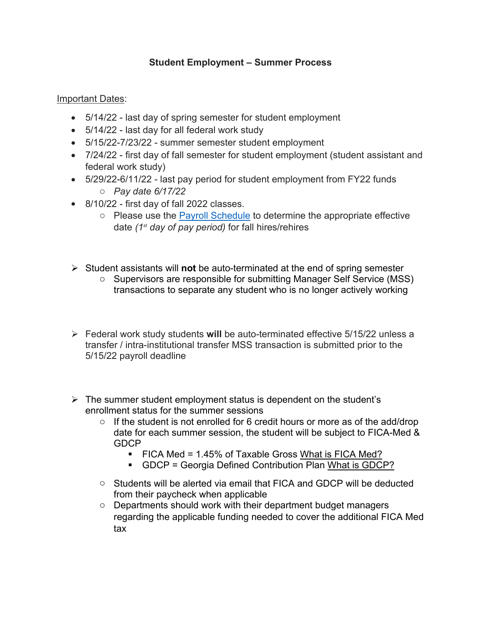## **Student Employment – Summer Process**

Important Dates:

- 5/14/22 last day of spring semester for student employment
- 5/14/22 last day for all federal work study
- 5/15/22-7/23/22 summer semester student employment
- 7/24/22 first day of fall semester for student employment (student assistant and federal work study)
- 5/29/22-6/11/22 last pay period for student employment from FY22 funds o *Pay date 6/17/22*
- 8/10/22 first day of fall 2022 classes.
	- $\circ$  Please use the [Payroll Schedule](https://www.westga.edu/hr/payroll-schedules.php) to determine the appropriate effective date *(1st day of pay period)* for fall hires/rehires
- Student assistants will **not** be auto-terminated at the end of spring semester
	- o Supervisors are responsible for submitting Manager Self Service (MSS) transactions to separate any student who is no longer actively working
- Federal work study students **will** be auto-terminated effective 5/15/22 unless a transfer / intra-institutional transfer MSS transaction is submitted prior to the 5/15/22 payroll deadline
- $\triangleright$  The summer student employment status is dependent on the student's enrollment status for the summer sessions
	- $\circ$  If the student is not enrolled for 6 credit hours or more as of the add/drop date for each summer session, the student will be subject to FICA-Med & GDCP
		- FICA Med = 1.45% of Taxable Gross [What is FICA Med?](https://www.google.com/url?sa=t&rct=j&q=&esrc=s&source=web&cd=&cad=rja&uact=8&ved=2ahUKEwif9smK4qXwAhVNRzABHe9GDxEQFjALegQIAhAD&url=https%3A%2F%2Fwww.ssa.gov%2Fthirdparty%2Fmaterials%2Fpdfs%2Feducators%2FWhat-is-FICA-Infographic-EN-05-10297.pdf&usg=AOvVaw0gtD8tcZp89eR3wZ1NCclW)
		- GDCP = Georgia Defined Contribution Plan [What is GDCP?](https://www.ers.ga.gov/sites/main/files/file-attachments/gdcpbrochure.pdf?1511305196)
	- o Students will be alerted via email that FICA and GDCP will be deducted from their paycheck when applicable
	- o Departments should work with their department budget managers regarding the applicable funding needed to cover the additional FICA Med tax